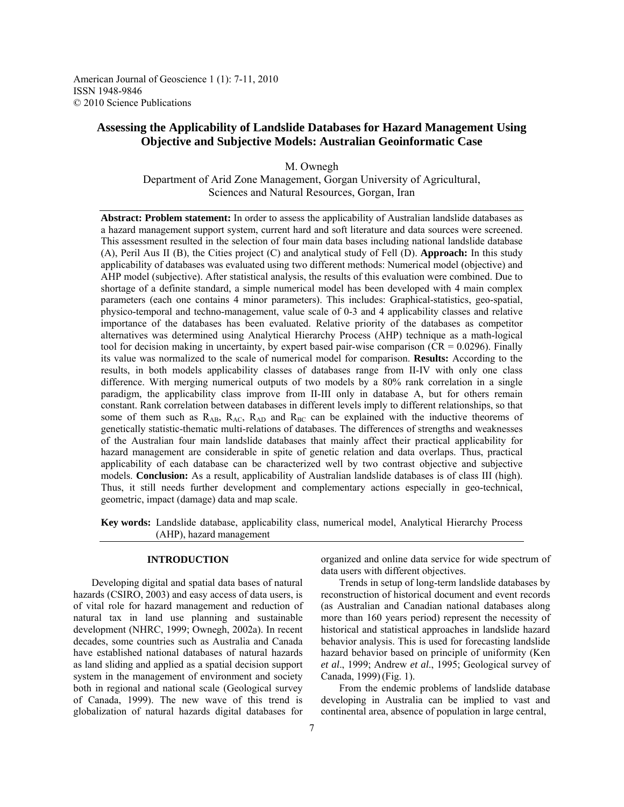American Journal of Geoscience 1 (1): 7-11, 2010 ISSN 1948-9846 © 2010 Science Publications

# **Assessing the Applicability of Landslide Databases for Hazard Management Using Objective and Subjective Models: Australian Geoinformatic Case**

M. Ownegh Department of Arid Zone Management, Gorgan University of Agricultural, Sciences and Natural Resources, Gorgan, Iran

**Abstract: Problem statement:** In order to assess the applicability of Australian landslide databases as a hazard management support system, current hard and soft literature and data sources were screened. This assessment resulted in the selection of four main data bases including national landslide database (A), Peril Aus ІІ (B), the Cities project (C) and analytical study of Fell (D). **Approach:** In this study applicability of databases was evaluated using two different methods: Numerical model (objective) and AHP model (subjective). After statistical analysis, the results of this evaluation were combined. Due to shortage of a definite standard, a simple numerical model has been developed with 4 main complex parameters (each one contains 4 minor parameters). This includes: Graphical-statistics, geo-spatial, physico-temporal and techno-management, value scale of 0-3 and 4 applicability classes and relative importance of the databases has been evaluated. Relative priority of the databases as competitor alternatives was determined using Analytical Hierarchy Process (AHP) technique as a math-logical tool for decision making in uncertainty, by expert based pair-wise comparison ( $CR = 0.0296$ ). Finally its value was normalized to the scale of numerical model for comparison. **Results:** According to the results, in both models applicability classes of databases range from II-IV with only one class difference. With merging numerical outputs of two models by a 80% rank correlation in a single paradigm, the applicability class improve from ІІ-ІІІ only in database A, but for others remain constant. Rank correlation between databases in different levels imply to different relationships, so that some of them such as  $R_{AB}$ ,  $R_{AC}$ ,  $R_{AD}$  and  $R_{BC}$  can be explained with the inductive theorems of genetically statistic-thematic multi-relations of databases. The differences of strengths and weaknesses of the Australian four main landslide databases that mainly affect their practical applicability for hazard management are considerable in spite of genetic relation and data overlaps. Thus, practical applicability of each database can be characterized well by two contrast objective and subjective models. **Conclusion:** As a result, applicability of Australian landslide databases is of class III (high). Thus, it still needs further development and complementary actions especially in geo-technical, geometric, impact (damage) data and map scale.

**Key words:** Landslide database, applicability class, numerical model, Analytical Hierarchy Process (AHP), hazard management

#### **INTRODUCTION**

 Developing digital and spatial data bases of natural hazards (CSIRO, 2003) and easy access of data users, is of vital role for hazard management and reduction of natural tax in land use planning and sustainable development (NHRC, 1999; Ownegh, 2002a). In recent decades, some countries such as Australia and Canada have established national databases of natural hazards as land sliding and applied as a spatial decision support system in the management of environment and society both in regional and national scale (Geological survey of Canada, 1999). The new wave of this trend is globalization of natural hazards digital databases for

organized and online data service for wide spectrum of data users with different objectives.

 Trends in setup of long-term landslide databases by reconstruction of historical document and event records (as Australian and Canadian national databases along more than 160 years period) represent the necessity of historical and statistical approaches in landslide hazard behavior analysis. This is used for forecasting landslide hazard behavior based on principle of uniformity (Ken *et al*., 1999; Andrew *et al*., 1995; Geological survey of Canada, 1999)(Fig. 1).

 From the endemic problems of landslide database developing in Australia can be implied to vast and continental area, absence of population in large central,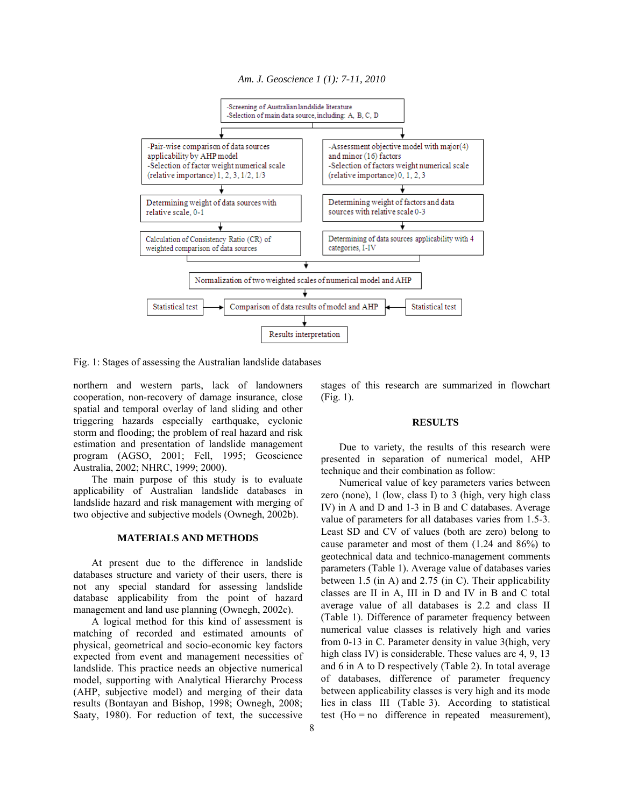#### *Am. J. Geoscience 1 (1): 7-11, 2010*



Fig. 1: Stages of assessing the Australian landslide databases

northern and western parts, lack of landowners cooperation, non-recovery of damage insurance, close spatial and temporal overlay of land sliding and other triggering hazards especially earthquake, cyclonic storm and flooding; the problem of real hazard and risk estimation and presentation of landslide management program (AGSO, 2001; Fell, 1995; Geoscience Australia, 2002; NHRC, 1999; 2000).

 The main purpose of this study is to evaluate applicability of Australian landslide databases in landslide hazard and risk management with merging of two objective and subjective models (Ownegh, 2002b).

### **MATERIALS AND METHODS**

 At present due to the difference in landslide databases structure and variety of their users, there is not any special standard for assessing landslide database applicability from the point of hazard management and land use planning (Ownegh, 2002c).

 A logical method for this kind of assessment is matching of recorded and estimated amounts of physical, geometrical and socio-economic key factors expected from event and management necessities of landslide. This practice needs an objective numerical model, supporting with Analytical Hierarchy Process (AHP, subjective model) and merging of their data results (Bontayan and Bishop, 1998; Ownegh, 2008; Saaty, 1980). For reduction of text, the successive

stages of this research are summarized in flowchart (Fig. 1).

#### **RESULTS**

 Due to variety, the results of this research were presented in separation of numerical model, AHP technique and their combination as follow:

 Numerical value of key parameters varies between zero (none), 1 (low, class I) to 3 (high, very high class IV) in A and D and 1-3 in B and C databases. Average value of parameters for all databases varies from 1.5-3. Least SD and CV of values (both are zero) belong to cause parameter and most of them (1.24 and 86%) to geotechnical data and technico-management comments parameters (Table 1). Average value of databases varies between 1.5 (in A) and 2.75 (in C). Their applicability classes are II in A, III in D and IV in B and C total average value of all databases is 2.2 and class II (Table 1). Difference of parameter frequency between numerical value classes is relatively high and varies from 0-13 in C. Parameter density in value 3(high, very high class IV) is considerable. These values are 4, 9, 13 and 6 in A to D respectively (Table 2). In total average of databases, difference of parameter frequency between applicability classes is very high and its mode lies in class III (Table 3). According to statistical test  $(Ho = no$  difference in repeated measurement),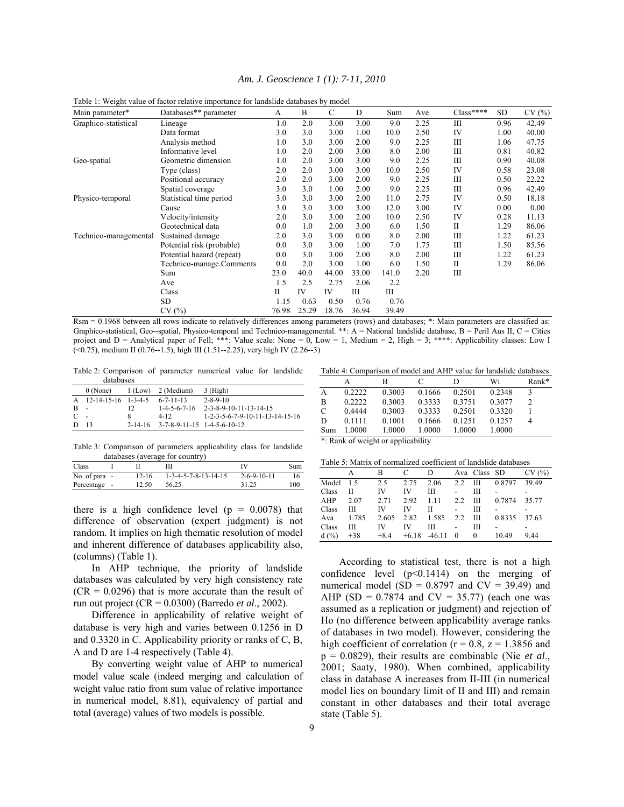|  | Am. J. Geoscience 1 (1): 7-11, 2010 |  |  |  |  |
|--|-------------------------------------|--|--|--|--|
|--|-------------------------------------|--|--|--|--|

| Main parameter*       | Databases** parameter     | A           | B     | C     | D     | Sum   | Ave  | $Class****$  | SD.  | CV(%) |
|-----------------------|---------------------------|-------------|-------|-------|-------|-------|------|--------------|------|-------|
| Graphico-statistical  | Lineage                   | 1.0         | 2.0   | 3.00  | 3.00  | 9.0   | 2.25 | Ш            | 0.96 | 42.49 |
|                       | Data format               | 3.0         | 3.0   | 3.00  | 1.00  | 10.0  | 2.50 | IV           | 1.00 | 40.00 |
|                       | Analysis method           | 1.0         | 3.0   | 3.00  | 2.00  | 9.0   | 2.25 | Ш            | 1.06 | 47.75 |
|                       | Informative level         | 1.0         | 2.0   | 2.00  | 3.00  | 8.0   | 2.00 | Ш            | 0.81 | 40.82 |
| Geo-spatial           | Geometric dimension       | 1.0         | 2.0   | 3.00  | 3.00  | 9.0   | 2.25 | Ш            | 0.90 | 40.08 |
|                       | Type (class)              | 2.0         | 2.0   | 3.00  | 3.00  | 10.0  | 2.50 | IV           | 0.58 | 23.08 |
|                       | Positional accuracy       | 2.0         | 2.0   | 3.00  | 2.00  | 9.0   | 2.25 | Ш            | 0.50 | 22.22 |
|                       | Spatial coverage          | 3.0         | 3.0   | 1.00  | 2.00  | 9.0   | 2.25 | Ш            | 0.96 | 42.49 |
| Physico-temporal      | Statistical time period   | 3.0         | 3.0   | 3.00  | 2.00  | 11.0  | 2.75 | IV           | 0.50 | 18.18 |
|                       | Cause                     | 3.0         | 3.0   | 3.00  | 3.00  | 12.0  | 3.00 | IV           | 0.00 | 0.00  |
|                       | Velocity/intensity        | 2.0         | 3.0   | 3.00  | 2.00  | 10.0  | 2.50 | IV           | 0.28 | 11.13 |
|                       | Geotechnical data         | 0.0         | 1.0   | 2.00  | 3.00  | 6.0   | 1.50 | $\mathbf{I}$ | 1.29 | 86.06 |
| Technico-managemental | Sustained damage          | 2.0         | 3.0   | 3.00  | 0.00  | 8.0   | 2.00 | Ш            | 1.22 | 61.23 |
|                       | Potential risk (probable) | 0.0         | 3.0   | 3.00  | 1.00  | 7.0   | 1.75 | Ш            | 1.50 | 85.56 |
|                       | Potential hazard (repeat) | 0.0         | 3.0   | 3.00  | 2.00  | 8.0   | 2.00 | Ш            | 1.22 | 61.23 |
|                       | Technico-manage.Comments  | 0.0         | 2.0   | 3.00  | 1.00  | 6.0   | 1.50 | П            | 1.29 | 86.06 |
|                       | Sum                       | 23.0        | 40.0  | 44.00 | 33.00 | 141.0 | 2.20 | Ш            |      |       |
|                       | Ave                       | 1.5         | 2.5   | 2.75  | 2.06  | 2.2   |      |              |      |       |
|                       | Class                     | $_{\rm II}$ | IV    | IV    | Ш     | Ш     |      |              |      |       |
|                       | <b>SD</b>                 | 1.15        | 0.63  | 0.50  | 0.76  | 0.76  |      |              |      |       |
|                       | CV(%)                     | 76.98       | 25.29 | 18.76 | 36.94 | 39.49 |      |              |      |       |

Table 1: Weight value of factor relative importance for landslide databases by model

Rsm = 0.1968 between all rows indicate to relatively differences among parameters (rows) and databases; \*: Main parameters are classified as: Graphico-statistical, Geo--spatial, Physico-temporal and Technico-managemental. \*\*: A = National landslide database, B = Peril Aus II, C = Cities project and D = Analytical paper of Fell; \*\*\*: Value scale: None = 0, Low = 1, Medium = 2, High = 3; \*\*\*\*: Applicability classes: Low I  $(0.75)$ , medium II (0.76--1.5), high III (1.51--2.25), very high IV (2.26--3)

Table 2: Comparison of parameter numerical value for landslide databases

|              | $0$ (None)              |   | 1 (Low) 2 (Median)                        | 3 (High)                                                  |
|--------------|-------------------------|---|-------------------------------------------|-----------------------------------------------------------|
| $\mathbf{A}$ | $12-14-15-16$ $1-3-4-5$ |   | $6 - 7 - 11 - 13$                         | $2 - 8 - 9 - 10$                                          |
| -B           | $\sim$                  |   | $1 - 4 - 5 - 6 - 7 - 16$                  | 2-3-8-9-10-11-13-14-15                                    |
| C            | $\sim$                  | 8 | $4 - 12$                                  | $1 - 2 - 3 - 5 - 6 - 7 - 9 - 10 - 11 - 13 - 14 - 15 - 16$ |
| Ð            |                         |   | $2-14-16$ $3-7-8-9-11-15$ $1-4-5-6-10-12$ |                                                           |

Table 3: Comparison of parameters applicability class for landslide databases (average for country)

| Class         |           |                        | IV                    | Sum |
|---------------|-----------|------------------------|-----------------------|-----|
| No. of para - | $12 - 16$ | $1-3-4-5-7-8-13-14-15$ | $2 - 6 - 9 - 10 - 11$ |     |
| Percentage -  | 12.50     | 56.25                  | 31.25                 | 100 |

there is a high confidence level  $(p = 0.0078)$  that difference of observation (expert judgment) is not random. It implies on high thematic resolution of model and inherent difference of databases applicability also, (columns) (Table 1).

 In AHP technique, the priority of landslide databases was calculated by very high consistency rate  $(CR = 0.0296)$  that is more accurate than the result of run out project (CR = 0.0300) (Barredo *et al*., 2002).

 Difference in applicability of relative weight of database is very high and varies between 0.1256 in D and 0.3320 in C. Applicability priority or ranks of C, B, A and D are 1-4 respectively (Table 4).

 By converting weight value of AHP to numerical model value scale (indeed merging and calculation of weight value ratio from sum value of relative importance in numerical model, 8.81), equivalency of partial and total (average) values of two models is possible.

Table 4: Comparison of model and AHP value for landslide databases

|     |        |        |        | D      | Wi     | $Rank*$ |
|-----|--------|--------|--------|--------|--------|---------|
| A   | 0.2222 | 0.3003 | 0.1666 | 0.2501 | 0.2348 | ٩       |
| B   | 0.2222 | 0.3003 | 0.3333 | 0.3751 | 0.3077 | 2       |
| C   | 0.4444 | 0.3003 | 0.3333 | 0.2501 | 0.3320 |         |
| D   | 0.1111 | 0.1001 | 0.1666 | 0.1251 | 0.1257 |         |
| Sum | 1.0000 | 1.0000 | 1.0000 | 1.0000 | 1.0000 |         |
|     |        |        |        |        |        |         |

\*: Rank of weight or applicability

|       |       |        |         |          |          |              | Table 5. Matrix of homianzed cocriteriu of famishue databases |       |
|-------|-------|--------|---------|----------|----------|--------------|---------------------------------------------------------------|-------|
|       |       | R      | C       | D        |          | Ava Class SD |                                                               | CV(%) |
| Model | 1.5   | 2.5    | 2.75    | 2.06     | 2.2      | Ш            | 0.8797                                                        | 39.49 |
| Class | Н     | IV     | IV      | Ш        |          | Ш            |                                                               |       |
| AHP   | 2.07  | 2.71   | 2.92    | 1.11     | 2.2      | Ш            | 0.7874                                                        | 35.77 |
| Class | Ш     | IV     | IV      | П        |          | Ш            |                                                               |       |
| Ava   | 1.785 | 2.605  | 2.82    | 1.585    | 2.2      | Ш            | 0.8335                                                        | 37.63 |
| Class | Ш     | IV     | IV      | Ш        |          | Ш            |                                                               |       |
| d(%)  | $+38$ | $+8.4$ | $+6.18$ | $-46.11$ | $\theta$ | $\theta$     | 10.49                                                         | 9.44  |
|       |       |        |         |          |          |              |                                                               |       |

 According to statistical test, there is not a high confidence level  $(p<0.1414)$  on the merging of numerical model (SD =  $0.8797$  and CV =  $39.49$ ) and AHP (SD =  $0.7874$  and CV = 35.77) (each one was assumed as a replication or judgment) and rejection of Ho (no difference between applicability average ranks of databases in two model). However, considering the high coefficient of correlation ( $r = 0.8$ ,  $z = 1.3856$  and p = 0.0829), their results are combinable (Nie *et al*., 2001; Saaty, 1980). When combined, applicability class in database A increases from II-III (in numerical model lies on boundary limit of II and III) and remain constant in other databases and their total average state (Table 5).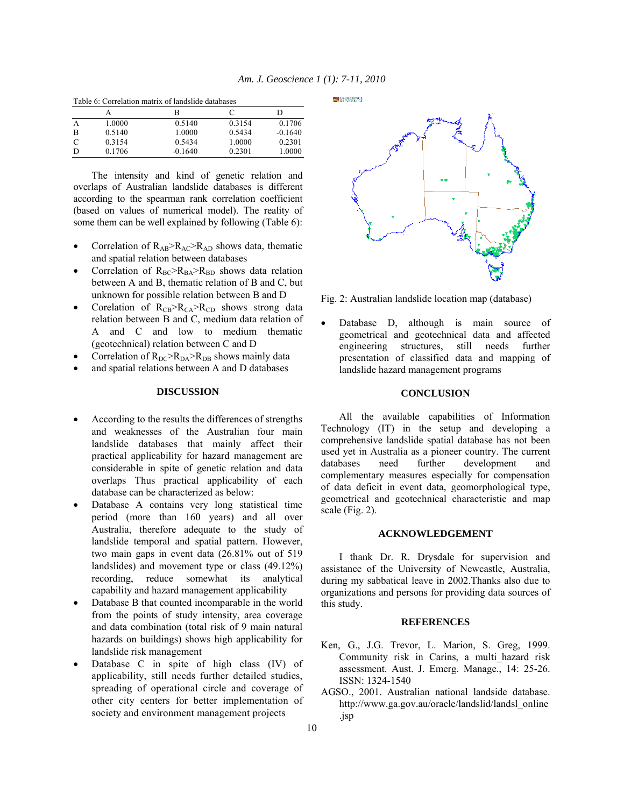|   | Table 6: Correlation matrix of landslide databases |           |        |           |  |  |  |  |
|---|----------------------------------------------------|-----------|--------|-----------|--|--|--|--|
|   |                                                    | в         |        |           |  |  |  |  |
|   | 1.0000                                             | 0.5140    | 0.3154 | 0.1706    |  |  |  |  |
| в | 0.5140                                             | 1.0000    | 0.5434 | $-0.1640$ |  |  |  |  |
| C | 0.3154                                             | 0.5434    | 1.0000 | 0.2301    |  |  |  |  |
| D | 0.1706                                             | $-0.1640$ | 0.2301 | 1.0000    |  |  |  |  |

Table 6: Correlation matrix of landslide databases

 The intensity and kind of genetic relation and overlaps of Australian landslide databases is different according to the spearman rank correlation coefficient (based on values of numerical model). The reality of some them can be well explained by following (Table 6):

- Correlation of  $R_{AB} > R_{AC} > R_{AD}$  shows data, thematic and spatial relation between databases
- Correlation of  $R_{BC} > R_{BA} > R_{BD}$  shows data relation between A and B, thematic relation of B and C, but unknown for possible relation between B and D
- Corelation of  $R_{CB} > R_{CA} > R_{CD}$  shows strong data relation between B and C, medium data relation of A and C and low to medium thematic (geotechnical) relation between C and D
- Correlation of  $R_{DC} > R_{DA} > R_{DB}$  shows mainly data
- and spatial relations between A and D databases

# **DISCUSSION**

- According to the results the differences of strengths and weaknesses of the Australian four main landslide databases that mainly affect their practical applicability for hazard management are considerable in spite of genetic relation and data overlaps Thus practical applicability of each database can be characterized as below:
- Database A contains very long statistical time period (more than 160 years) and all over Australia, therefore adequate to the study of landslide temporal and spatial pattern. However, two main gaps in event data (26.81% out of 519 landslides) and movement type or class (49.12%) recording, reduce somewhat its analytical capability and hazard management applicability
- Database B that counted incomparable in the world from the points of study intensity, area coverage and data combination (total risk of 9 main natural hazards on buildings) shows high applicability for landslide risk management
- Database C in spite of high class (IV) of applicability, still needs further detailed studies, spreading of operational circle and coverage of other city centers for better implementation of society and environment management projects

**ESCEOSCIENCE** 



Fig. 2: Australian landslide location map (database)

Database D, although is main source of geometrical and geotechnical data and affected engineering structures, still needs further presentation of classified data and mapping of landslide hazard management programs

# **CONCLUSION**

 All the available capabilities of Information Technology (IT) in the setup and developing a comprehensive landslide spatial database has not been used yet in Australia as a pioneer country. The current databases need further development and complementary measures especially for compensation of data deficit in event data, geomorphological type, geometrical and geotechnical characteristic and map scale (Fig. 2).

# **ACKNOWLEDGEMENT**

 I thank Dr. R. Drysdale for supervision and assistance of the University of Newcastle, Australia, during my sabbatical leave in 2002.Thanks also due to organizations and persons for providing data sources of this study.

# **REFERENCES**

- Ken, G., J.G. Trevor, L. Marion, S. Greg, 1999. Community risk in Carins, a multi\_hazard risk assessment. Aust. J. Emerg. Manage., 14: 25-26. ISSN: 1324-1540
- AGSO., 2001. Australian national landside database. http://www.ga.gov.au/oracle/landslid/landsl\_online .jsp